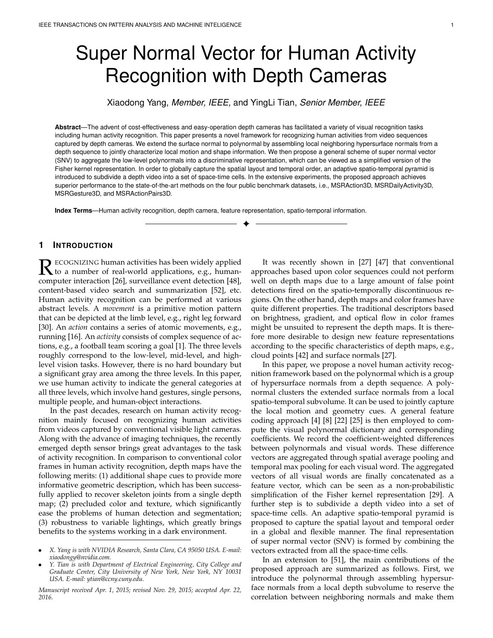# Super Normal Vector for Human Activity Recognition with Depth Cameras

Xiaodong Yang, *Member, IEEE,* and YingLi Tian, *Senior Member, IEEE*

**Abstract**—The advent of cost-effectiveness and easy-operation depth cameras has facilitated a variety of visual recognition tasks including human activity recognition. This paper presents a novel framework for recognizing human activities from video sequences captured by depth cameras. We extend the surface normal to polynormal by assembling local neighboring hypersurface normals from a depth sequence to jointly characterize local motion and shape information. We then propose a general scheme of super normal vector (SNV) to aggregate the low-level polynormals into a discriminative representation, which can be viewed as a simplified version of the Fisher kernel representation. In order to globally capture the spatial layout and temporal order, an adaptive spatio-temporal pyramid is introduced to subdivide a depth video into a set of space-time cells. In the extensive experiments, the proposed approach achieves superior performance to the state-of-the-art methods on the four public benchmark datasets, i.e., MSRAction3D, MSRDailyActivity3D, MSRGesture3D, and MSRActionPairs3D.

✦

**Index Terms**—Human activity recognition, depth camera, feature representation, spatio-temporal information.

# **1 INTRODUCTION**

R ECOGNIZING human activities has been widely applied<br>to a number of real-world applications, e.g., human-<br>computer interaction [26], curvoillance over detection [48] ECOGNIZING human activities has been widely applied computer interaction [26], surveillance event detection [48], content-based video search and summarization [52], etc. Human activity recognition can be performed at various abstract levels. A *movement* is a primitive motion pattern that can be depicted at the limb level, e.g., right leg forward [30]. An *action* contains a series of atomic movements, e.g., running [16]. An *activity* consists of complex sequence of actions, e.g., a football team scoring a goal [1]. The three levels roughly correspond to the low-level, mid-level, and highlevel vision tasks. However, there is no hard boundary but a significant gray area among the three levels. In this paper, we use human activity to indicate the general categories at all three levels, which involve hand gestures, single persons, multiple people, and human-object interactions.

In the past decades, research on human activity recognition mainly focused on recognizing human activities from videos captured by conventional visible light cameras. Along with the advance of imaging techniques, the recently emerged depth sensor brings great advantages to the task of activity recognition. In comparison to conventional color frames in human activity recognition, depth maps have the following merits: (1) additional shape cues to provide more informative geometric description, which has been successfully applied to recover skeleton joints from a single depth map; (2) precluded color and texture, which significantly ease the problems of human detection and segmentation; (3) robustness to variable lightings, which greatly brings benefits to the systems working in a dark environment.

- *X. Yang is with NVIDIA Research, Santa Clara, CA 95050 USA. E-mail: xiaodongy@nvidia.com.*
- *Y. Tian is with Department of Electrical Engineering, City College and Graduate Center, City University of New York, New York, NY 10031 USA. E-mail: ytian@ccny.cuny.edu.*

*Manuscript received Apr. 1, 2015; revised Nov. 29, 2015; accepted Apr. 22, 2016.*

It was recently shown in [27] [47] that conventional approaches based upon color sequences could not perform well on depth maps due to a large amount of false point detections fired on the spatio-temporally discontinuous regions. On the other hand, depth maps and color frames have quite different properties. The traditional descriptors based on brightness, gradient, and optical flow in color frames might be unsuited to represent the depth maps. It is therefore more desirable to design new feature representations according to the specific characteristics of depth maps, e.g., cloud points [42] and surface normals [27].

In this paper, we propose a novel human activity recognition framework based on the polynormal which is a group of hypersurface normals from a depth sequence. A polynormal clusters the extended surface normals from a local spatio-temporal subvolume. It can be used to jointly capture the local motion and geometry cues. A general feature coding approach [4] [8] [22] [25] is then employed to compute the visual polynormal dictionary and corresponding coefficients. We record the coefficient-weighted differences between polynormals and visual words. These difference vectors are aggregated through spatial average pooling and temporal max pooling for each visual word. The aggregated vectors of all visual words are finally concatenated as a feature vector, which can be seen as a non-probabilistic simplification of the Fisher kernel representation [29]. A further step is to subdivide a depth video into a set of space-time cells. An adaptive spatio-temporal pyramid is proposed to capture the spatial layout and temporal order in a global and flexible manner. The final representation of super normal vector (SNV) is formed by combining the vectors extracted from all the space-time cells.

In an extension to [51], the main contributions of the proposed approach are summarized as follows. First, we introduce the polynormal through assembling hypersurface normals from a local depth subvolume to reserve the correlation between neighboring normals and make them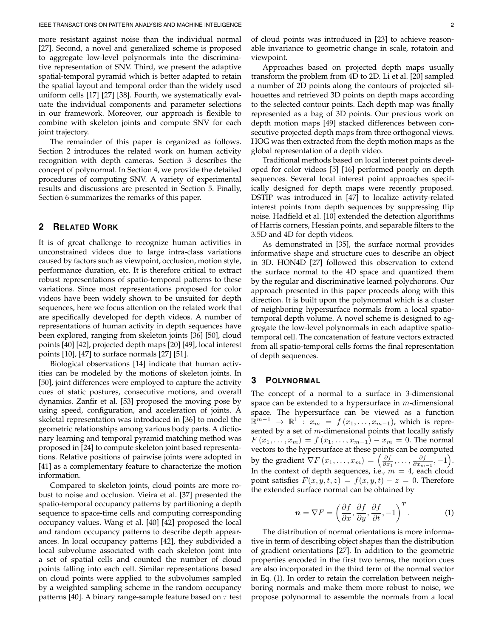more resistant against noise than the individual normal [27]. Second, a novel and generalized scheme is proposed to aggregate low-level polynormals into the discriminative representation of SNV. Third, we present the adaptive spatial-temporal pyramid which is better adapted to retain the spatial layout and temporal order than the widely used uniform cells [17] [27] [38]. Fourth, we systematically evaluate the individual components and parameter selections in our framework. Moreover, our approach is flexible to combine with skeleton joints and compute SNV for each joint trajectory.

The remainder of this paper is organized as follows. Section 2 introduces the related work on human activity recognition with depth cameras. Section 3 describes the concept of polynormal. In Section 4, we provide the detailed procedures of computing SNV. A variety of experimental results and discussions are presented in Section 5. Finally, Section 6 summarizes the remarks of this paper.

# **2 RELATED WORK**

It is of great challenge to recognize human activities in unconstrained videos due to large intra-class variations caused by factors such as viewpoint, occlusion, motion style, performance duration, etc. It is therefore critical to extract robust representations of spatio-temporal patterns to these variations. Since most representations proposed for color videos have been widely shown to be unsuited for depth sequences, here we focus attention on the related work that are specifically developed for depth videos. A number of representations of human activity in depth sequences have been explored, ranging from skeleton joints [36] [50], cloud points [40] [42], projected depth maps [20] [49], local interest points [10], [47] to surface normals [27] [51].

Biological observations [14] indicate that human activities can be modeled by the motions of skeleton joints. In [50], joint differences were employed to capture the activity cues of static postures, consecutive motions, and overall dynamics. Zanfir et al. [53] proposed the moving pose by using speed, configuration, and acceleration of joints. A skeletal representation was introduced in [36] to model the geometric relationships among various body parts. A dictionary learning and temporal pyramid matching method was proposed in [24] to compute skeleton joint based representations. Relative positions of pairwise joints were adopted in [41] as a complementary feature to characterize the motion information.

Compared to skeleton joints, cloud points are more robust to noise and occlusion. Vieira et al. [37] presented the spatio-temporal occupancy patterns by partitioning a depth sequence to space-time cells and computing corresponding occupancy values. Wang et al. [40] [42] proposed the local and random occupancy patterns to describe depth appearances. In local occupancy patterns [42], they subdivided a local subvolume associated with each skeleton joint into a set of spatial cells and counted the number of cloud points falling into each cell. Similar representations based on cloud points were applied to the subvolumes sampled by a weighted sampling scheme in the random occupancy patterns [40]. A binary range-sample feature based on  $\tau$  test

of cloud points was introduced in [23] to achieve reasonable invariance to geometric change in scale, rotatoin and viewpoint.

Approaches based on projected depth maps usually transform the problem from 4D to 2D. Li et al. [20] sampled a number of 2D points along the contours of projected silhouettes and retrieved 3D points on depth maps according to the selected contour points. Each depth map was finally represented as a bag of 3D points. Our previous work on depth motion maps [49] stacked differences between consecutive projected depth maps from three orthogonal views. HOG was then extracted from the depth motion maps as the global representation of a depth video.

Traditional methods based on local interest points developed for color videos [5] [16] performed poorly on depth sequences. Several local interest point approaches specifically designed for depth maps were recently proposed. DSTIP was introduced in [47] to localize activity-related interest points from depth sequences by suppressing flip noise. Hadfield et al. [10] extended the detection algorithms of Harris corners, Hessian points, and separable filters to the 3.5D and 4D for depth videos.

As demonstrated in [35], the surface normal provides informative shape and structure cues to describe an object in 3D. HON4D [27] followed this observation to extend the surface normal to the 4D space and quantized them by the regular and discriminative learned polychorons. Our approach presented in this paper proceeds along with this direction. It is built upon the polynormal which is a cluster of neighboring hypersurface normals from a local spatiotemporal depth volume. A novel scheme is designed to aggregate the low-level polynormals in each adaptive spatiotemporal cell. The concatenation of feature vectors extracted from all spatio-temporal cells forms the final representation of depth sequences.

# **3 POLYNORMAL**

The concept of a normal to a surface in 3-dimensional space can be extended to a hypersurface in  $m$ -dimensional space. The hypersurface can be viewed as a function  $\mathbb{R}^{m-1} \rightarrow \mathbb{R}^1$  :  $x_m = f(x_1, \ldots, x_{m-1})$ , which is represented by a set of  $m$ -dimensional points that locally satisfy  $F(x_1,...,x_m) = f(x_1,...,x_{m-1}) - x_m = 0$ . The normal vectors to the hypersurface at these points can be computed by the gradient  $\nabla F(x_1, \ldots, x_m) = \left(\frac{\partial f}{\partial x_1}, \ldots, \frac{\partial f}{\partial x_{m-1}}, -1\right)$ . In the context of depth sequences, i.e.,  $m = 4$ , each cloud point satisfies  $F(x, y, t, z) = f(x, y, t) - z = 0$ . Therefore the extended surface normal can be obtained by

$$
\boldsymbol{n} = \nabla F = \left(\frac{\partial f}{\partial x}, \frac{\partial f}{\partial y}, \frac{\partial f}{\partial t}, -1\right)^T.
$$
 (1)

The distribution of normal orientations is more informative in term of describing object shapes than the distribution of gradient orientations [27]. In addition to the geometric properties encoded in the first two terms, the motion cues are also incorporated in the third term of the normal vector in Eq. (1). In order to retain the correlation between neighboring normals and make them more robust to noise, we propose polynormal to assemble the normals from a local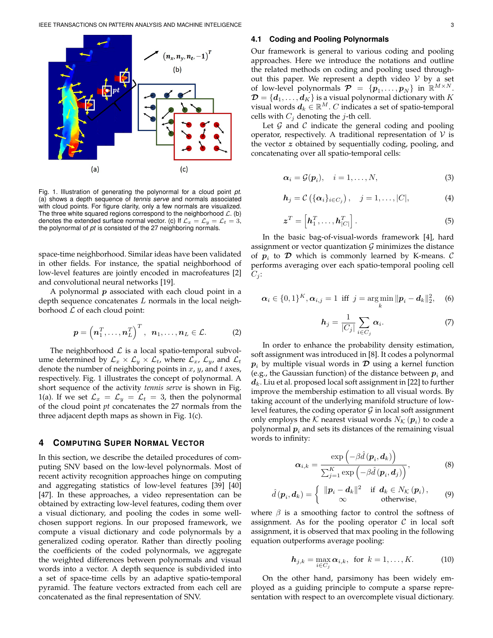

Fig. 1. Illustration of generating the polynormal for a cloud point *pt*. (a) shows a depth sequence of *tennis serve* and normals associated with cloud points. For figure clarity, only a few normals are visualized. The three white squared regions correspond to the neighborhood  $\mathcal{L}$ . (b) denotes the extended surface normal vector. (c) If  $\mathcal{L}_x = \mathcal{L}_y = \mathcal{L}_t = 3$ , the polynormal of *pt* is consisted of the 27 neighboring normals.

space-time neighborhood. Similar ideas have been validated in other fields. For instance, the spatial neighborhood of low-level features are jointly encoded in macrofeatures [2] and convolutional neural networks [19].

A polynormal  $p$  associated with each cloud point in a depth sequence concatenates  $L$  normals in the local neighborhood  $L$  of each cloud point:

$$
\boldsymbol{p} = \left(\boldsymbol{n}_1^T,\ldots,\boldsymbol{n}_L^T\right)^T,\ \boldsymbol{n}_1,\ldots,\boldsymbol{n}_L \in \mathcal{L}.\tag{2}
$$

The neighborhood  $\mathcal L$  is a local spatio-temporal subvolume determined by  $\mathcal{L}_x \times \mathcal{L}_y \times \mathcal{L}_t$ , where  $\mathcal{L}_x$ ,  $\mathcal{L}_y$ , and  $\mathcal{L}_t$ denote the number of neighboring points in  $x$ ,  $y$ , and  $t$  axes, respectively. Fig. 1 illustrates the concept of polynormal. A short sequence of the activity *tennis serve* is shown in Fig. 1(a). If we set  $\mathcal{L}_x = \mathcal{L}_y = \mathcal{L}_t = 3$ , then the polynormal of the cloud point *pt* concatenates the 27 normals from the three adjacent depth maps as shown in Fig. 1(c).

# **4 COMPUTING SUPER NORMAL VECTOR**

In this section, we describe the detailed procedures of computing SNV based on the low-level polynormals. Most of recent activity recognition approaches hinge on computing and aggregating statistics of low-level features [39] [40] [47]. In these approaches, a video representation can be obtained by extracting low-level features, coding them over a visual dictionary, and pooling the codes in some wellchosen support regions. In our proposed framework, we compute a visual dictionary and code polynormals by a generalized coding operator. Rather than directly pooling the coefficients of the coded polynormals, we aggregate the weighted differences between polynormals and visual words into a vector. A depth sequence is subdivided into a set of space-time cells by an adaptive spatio-temporal pyramid. The feature vectors extracted from each cell are concatenated as the final representation of SNV.

#### **4.1 Coding and Pooling Polynormals**

Our framework is general to various coding and pooling approaches. Here we introduce the notations and outline the related methods on coding and pooling used throughout this paper. We represent a depth video  $V$  by a set of low-level polynormals  $\mathcal{P} = \{p_1, \ldots, p_N\}$  in  $\mathbb{R}^{M \times N}$ .  $\mathcal{\mathcal{D}}=\{\boldsymbol{d}_1,\ldots,\boldsymbol{d}_K\}$  is a visual polynormal dictionary with  $K$ visual words  $d_k \in \mathbb{R}^M$ . C indicates a set of spatio-temporal cells with  $C_i$  denoting the *j*-th cell.

Let  $G$  and  $C$  indicate the general coding and pooling operator, respectively. A traditional representation of  $V$  is the vector z obtained by sequentially coding, pooling, and concatenating over all spatio-temporal cells:

$$
\boldsymbol{\alpha}_i = \mathcal{G}(\boldsymbol{p}_i), \quad i = 1, \dots, N,
$$
\n(3)

$$
\boldsymbol{h}_j = \mathcal{C}\left(\{\boldsymbol{\alpha}_i\}_{i \in C_j}\right), \quad j = 1, \ldots, |C|,\tag{4}
$$

$$
\boldsymbol{z}^T = \left[\boldsymbol{h}_1^T, \dots, \boldsymbol{h}_{|C|}^T\right]. \tag{5}
$$

In the basic bag-of-visual-words framework [4], hard assignment or vector quantization  $G$  minimizes the distance of  $p_i$  to  $\mathcal D$  which is commonly learned by K-means.  $\mathcal C$ performs averaging over each spatio-temporal pooling cell  $C_i$ :

$$
\alpha_i \in \{0,1\}^K, \alpha_{i,j} = 1 \text{ iff } j = \argmin_k ||p_i - d_k||_2^2, \quad (6)
$$

$$
\boldsymbol{h}_j = \frac{1}{|C_j|} \sum_{i \in C_j} \boldsymbol{\alpha}_i. \tag{7}
$$

In order to enhance the probability density estimation, soft assignment was introduced in [8]. It codes a polynormal  $p_i$  by multiple visual words in  $\mathcal D$  using a kernel function (e.g., the Gaussian function) of the distance between  $p_i$  and  $d_k$ . Liu et al. proposed local soft assignment in [22] to further improve the membership estimation to all visual words. By taking account of the underlying manifold structure of lowlevel features, the coding operator  $\mathcal G$  in local soft assignment only employs the  ${\cal K}$  nearest visual words  $N_{\cal K}\left(\bm {p}_i\right)$  to code a polynormal  $\boldsymbol{p}_i$  and sets its distances of the remaining visual words to infinity:

$$
\boldsymbol{\alpha}_{i,k} = \frac{\exp\left(-\beta \hat{d}\left(\boldsymbol{p}_i, \boldsymbol{d}_k\right)\right)}{\sum_{j=1}^K \exp\left(-\beta \hat{d}\left(\boldsymbol{p}_i, \boldsymbol{d}_j\right)\right)},\tag{8}
$$

$$
\hat{d}(\boldsymbol{p}_i, \boldsymbol{d}_k) = \begin{cases} \|\boldsymbol{p}_i - \boldsymbol{d}_k\|^2 & \text{if } \boldsymbol{d}_k \in N_{\mathcal{K}}(\boldsymbol{p}_i), \\ \infty & \text{otherwise,} \end{cases}
$$
(9)

where  $\beta$  is a smoothing factor to control the softness of assignment. As for the pooling operator  $\mathcal C$  in local soft assignment, it is observed that max pooling in the following equation outperforms average pooling:

$$
\boldsymbol{h}_{j,k} = \max_{i \in C_j} \boldsymbol{\alpha}_{i,k}, \text{ for } k = 1, \ldots, K. \tag{10}
$$

On the other hand, parsimony has been widely employed as a guiding principle to compute a sparse representation with respect to an overcomplete visual dictionary.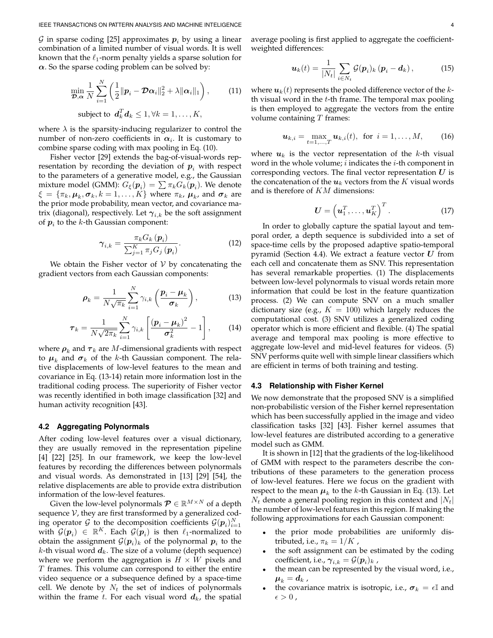G in sparse coding [25] approximates  $p_i$  by using a linear combination of a limited number of visual words. It is well known that the  $\ell_1$ -norm penalty yields a sparse solution for  $\alpha$ . So the sparse coding problem can be solved by:

$$
\min_{\boldsymbol{\mathcal{D}}, \boldsymbol{\alpha}} \frac{1}{N} \sum_{i=1}^{N} \left( \frac{1}{2} \|\boldsymbol{p}_i - \boldsymbol{\mathcal{D}} \boldsymbol{\alpha}_i\|_2^2 + \lambda \|\boldsymbol{\alpha}_i\|_1 \right), \qquad (11)
$$
\n
$$
\text{subject to } \boldsymbol{d}_k^T \boldsymbol{d}_k \leq 1, \forall k = 1, \dots, K,
$$

where  $\lambda$  is the sparsity-inducing regularizer to control the number of non-zero coefficients in  $\alpha_i.$  It is customary to combine sparse coding with max pooling in Eq. (10).

Fisher vector [29] extends the bag-of-visual-words representation by recording the deviation of  $p_i$  with respect to the parameters of a generative model, e.g., the Gaussian mixture model (GMM):  $G_{\xi}(\boldsymbol{p}_i) = \sum \pi_k G_k(\boldsymbol{p}_i)$ . We denote  $\xi = \{\pi_k, \boldsymbol{\mu}_k, \boldsymbol{\sigma}_k, k = 1, \dots, K\}$  where  $\pi_k$ ,  $\boldsymbol{\mu}_k$ , and  $\boldsymbol{\sigma}_k$  are the prior mode probability, mean vector, and covariance matrix (diagonal), respectively. Let  $\gamma_{i,k}$  be the soft assignment of  $p_i$  to the k-th Gaussian component:

$$
\gamma_{i,k} = \frac{\pi_k G_k \left( \boldsymbol{p}_i \right)}{\sum_{j=1}^K \pi_j G_j \left( \boldsymbol{p}_i \right)}.
$$
\n(12)

We obtain the Fisher vector of  $V$  by concatenating the gradient vectors from each Gaussian components:

$$
\rho_k = \frac{1}{N\sqrt{\pi_k}} \sum_{i=1}^N \gamma_{i,k} \left( \frac{p_i - \mu_k}{\sigma_k} \right), \qquad (13)
$$

$$
\boldsymbol{\tau}_k = \frac{1}{N\sqrt{2\pi_k}}\sum_{i=1}^N \gamma_{i,k} \left[ \frac{(\boldsymbol{p}_i - \boldsymbol{\mu}_k)^2}{\boldsymbol{\sigma}_k^2} - 1 \right],\qquad(14)
$$

where  $\boldsymbol{\rho}_k$  and  $\boldsymbol{\tau}_k$  are  $M$ -dimensional gradients with respect to  $\boldsymbol{\mu}_k$  and  $\boldsymbol{\sigma}_k$  of the *k*-th Gaussian component. The relative displacements of low-level features to the mean and covariance in Eq. (13-14) retain more information lost in the traditional coding process. The superiority of Fisher vector was recently identified in both image classification [32] and human activity recognition [43].

#### **4.2 Aggregating Polynormals**

After coding low-level features over a visual dictionary, they are usually removed in the representation pipeline [4] [22] [25]. In our framework, we keep the low-level features by recording the differences between polynormals and visual words. As demonstrated in [13] [29] [54], the relative displacements are able to provide extra distribution information of the low-level features.

Given the low-level polynormals  $\mathcal{P} \in \mathbb{R}^{M \times N}$  of a depth sequence  $V$ , they are first transformed by a generalized coding operator G to the decomposition coefficients  $\mathcal{G}(p_i)_{i=1}^N$ with  $\mathcal{G}(\boldsymbol{p}_i) \in \mathbb{R}^K$ . Each  $\mathcal{G}(\boldsymbol{p}_i)$  is then  $\ell_1$ -normalized to obtain the assignment  $\mathcal{G}(\bm{p}_i)_k$  of the polynormal  $\bm{p}_i$  to the k-th visual word  $d_k$ . The size of a volume (depth sequence) where we perform the aggregation is  $H \times W$  pixels and T frames. This volume can correspond to either the entire video sequence or a subsequence defined by a space-time cell. We denote by  $N_t$  the set of indices of polynormals within the frame t. For each visual word  $d_k$ , the spatial average pooling is first applied to aggregate the coefficientweighted differences:

$$
\boldsymbol{u}_k(t) = \frac{1}{|N_t|} \sum_{i \in N_t} \mathcal{G}(\boldsymbol{p}_i)_k (\boldsymbol{p}_i - \boldsymbol{d}_k), \qquad (15)
$$

where  $u_k(t)$  represents the pooled difference vector of the kth visual word in the  $t$ -th frame. The temporal max pooling is then employed to aggregate the vectors from the entire volume containing  $T$  frames:

$$
\boldsymbol{u}_{k,i} = \max_{t=1,...,T} \boldsymbol{u}_{k,i}(t), \text{ for } i = 1,...,M, \quad (16)
$$

where  $u_k$  is the vector representation of the k-th visual word in the whole volume;  $i$  indicates the  $i$ -th component in corresponding vectors. The final vector representation  $U$  is the concatenation of the  $u_k$  vectors from the K visual words and is therefore of KM dimensions:

$$
\boldsymbol{U} = \left(\boldsymbol{u}_1^T, \ldots, \boldsymbol{u}_K^T\right)^T.
$$
 (17)

In order to globally capture the spatial layout and temporal order, a depth sequence is subdivided into a set of space-time cells by the proposed adaptive spatio-temporal pyramid (Section 4.4). We extract a feature vector  $U$  from each cell and concatenate them as SNV. This representation has several remarkable properties. (1) The displacements between low-level polynormals to visual words retain more information that could be lost in the feature quantization process. (2) We can compute SNV on a much smaller dictionary size (e.g.,  $K = 100$ ) which largely reduces the computational cost. (3) SNV utilizes a generalized coding operator which is more efficient and flexible. (4) The spatial average and temporal max pooling is more effective to aggregate low-level and mid-level features for videos. (5) SNV performs quite well with simple linear classifiers which are efficient in terms of both training and testing.

#### **4.3 Relationship with Fisher Kernel**

We now demonstrate that the proposed SNV is a simplified non-probabilistic version of the Fisher kernel representation which has been successfully applied in the image and video classification tasks [32] [43]. Fisher kernel assumes that low-level features are distributed according to a generative model such as GMM.

It is shown in [12] that the gradients of the log-likelihood of GMM with respect to the parameters describe the contributions of these parameters to the generation process of low-level features. Here we focus on the gradient with respect to the mean  $\boldsymbol{\mu}_k$  to the *k*-th Gaussian in Eq. (13). Let  $N_t$  denote a general pooling region in this context and  $|N_t|$ the number of low-level features in this region. If making the following approximations for each Gaussian component:

- the prior mode probabilities are uniformly distributed, i.e.,  $\pi_k = 1/K$ ,
- the soft assignment can be estimated by the coding coefficient, i.e.,  $\boldsymbol{\gamma}_{i,k} = \mathcal{G}(\boldsymbol{p}_i)_k$  ,
- the mean can be represented by the visual word, i.e.,  $\boldsymbol{\mu}_k = \boldsymbol{d}_k$  ,
- the covariance matrix is isotropic, i.e.,  $\sigma_k = \epsilon \mathbb{I}$  and  $\epsilon > 0$ ,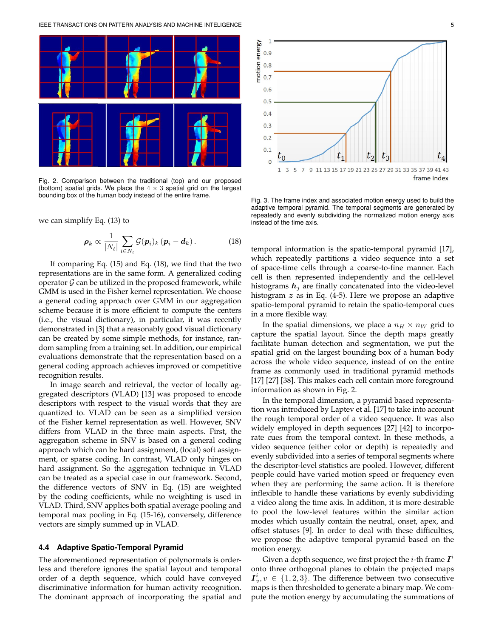

Fig. 2. Comparison between the traditional (top) and our proposed (bottom) spatial grids. We place the  $4 \times 3$  spatial grid on the largest bounding box of the human body instead of the entire frame.

we can simplify Eq. (13) to

$$
\boldsymbol{\rho}_k \propto \frac{1}{|N_t|} \sum_{i \in N_t} \mathcal{G}(\boldsymbol{p}_i)_k (\boldsymbol{p}_i - \boldsymbol{d}_k).
$$
 (18)

If comparing Eq. (15) and Eq. (18), we find that the two representations are in the same form. A generalized coding operator  $G$  can be utilized in the proposed framework, while GMM is used in the Fisher kernel representation. We choose a general coding approach over GMM in our aggregation scheme because it is more efficient to compute the centers (i.e., the visual dictionary), in particular, it was recently demonstrated in [3] that a reasonably good visual dictionary can be created by some simple methods, for instance, random sampling from a training set. In addition, our empirical evaluations demonstrate that the representation based on a general coding approach achieves improved or competitive recognition results.

In image search and retrieval, the vector of locally aggregated descriptors (VLAD) [13] was proposed to encode descriptors with respect to the visual words that they are quantized to. VLAD can be seen as a simplified version of the Fisher kernel representation as well. However, SNV differs from VLAD in the three main aspects. First, the aggregation scheme in SNV is based on a general coding approach which can be hard assignment, (local) soft assignment, or sparse coding. In contrast, VLAD only hinges on hard assignment. So the aggregation technique in VLAD can be treated as a special case in our framework. Second, the difference vectors of SNV in Eq. (15) are weighted by the coding coefficients, while no weighting is used in VLAD. Third, SNV applies both spatial average pooling and temporal max pooling in Eq. (15-16), conversely, difference vectors are simply summed up in VLAD.

#### **4.4 Adaptive Spatio-Temporal Pyramid**

The aforementioned representation of polynormals is orderless and therefore ignores the spatial layout and temporal order of a depth sequence, which could have conveyed discriminative information for human activity recognition. The dominant approach of incorporating the spatial and



Fig. 3. The frame index and associated motion energy used to build the adaptive temporal pyramid. The temporal segments are generated by repeatedly and evenly subdividing the normalized motion energy axis instead of the time axis.

temporal information is the spatio-temporal pyramid [17], which repeatedly partitions a video sequence into a set of space-time cells through a coarse-to-fine manner. Each cell is then represented independently and the cell-level histograms  $h_i$  are finally concatenated into the video-level histogram z as in Eq. (4-5). Here we propose an adaptive spatio-temporal pyramid to retain the spatio-temporal cues in a more flexible way.

In the spatial dimensions, we place a  $n_H \times n_W$  grid to capture the spatial layout. Since the depth maps greatly facilitate human detection and segmentation, we put the spatial grid on the largest bounding box of a human body across the whole video sequence, instead of on the entire frame as commonly used in traditional pyramid methods [17] [27] [38]. This makes each cell contain more foreground information as shown in Fig. 2.

In the temporal dimension, a pyramid based representation was introduced by Laptev et al. [17] to take into account the rough temporal order of a video sequence. It was also widely employed in depth sequences [27] [42] to incorporate cues from the temporal context. In these methods, a video sequence (either color or depth) is repeatedly and evenly subdivided into a series of temporal segments where the descriptor-level statistics are pooled. However, different people could have varied motion speed or frequency even when they are performing the same action. It is therefore inflexible to handle these variations by evenly subdividing a video along the time axis. In addition, it is more desirable to pool the low-level features within the similar action modes which usually contain the neutral, onset, apex, and offset statuses [9]. In order to deal with these difficulties, we propose the adaptive temporal pyramid based on the motion energy.

Given a depth sequence, we first project the  $i$ -th frame  $\boldsymbol{I}^i$ onto three orthogonal planes to obtain the projected maps  $I_v^i, v \in \{1, 2, 3\}$ . The difference between two consecutive maps is then thresholded to generate a binary map. We compute the motion energy by accumulating the summations of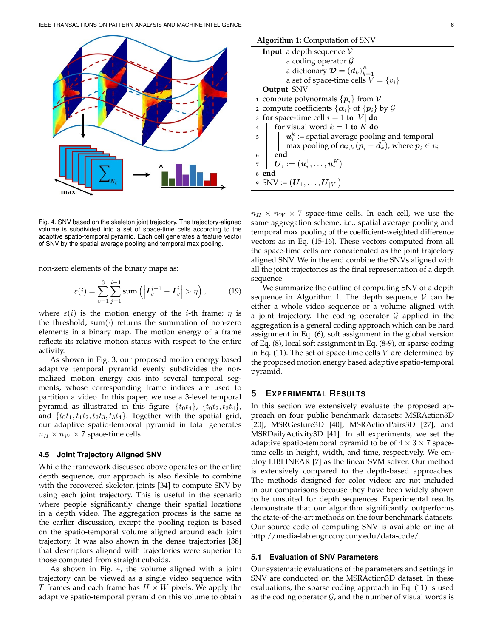

Fig. 4. SNV based on the skeleton joint trajectory. The trajectory-aligned volume is subdivided into a set of space-time cells according to the adaptive spatio-temporal pyramid. Each cell generates a feature vector of SNV by the spatial average pooling and temporal max pooling.

non-zero elements of the binary maps as:

$$
\varepsilon(i) = \sum_{v=1}^{3} \sum_{j=1}^{i-1} \operatorname{sum} \left( \left| \boldsymbol{I}_{v}^{j+1} - \boldsymbol{I}_{v}^{j} \right| > \eta \right), \tag{19}
$$

where  $\varepsilon(i)$  is the motion energy of the *i*-th frame;  $\eta$  is the threshold; sum( $\cdot$ ) returns the summation of non-zero elements in a binary map. The motion energy of a frame reflects its relative motion status with respect to the entire activity.

As shown in Fig. 3, our proposed motion energy based adaptive temporal pyramid evenly subdivides the normalized motion energy axis into several temporal segments, whose corresponding frame indices are used to partition a video. In this paper, we use a 3-level temporal pyramid as illustrated in this figure:  $\{t_0t_4\}$ ,  $\{t_0t_2, t_2t_4\}$ , and  $\{t_0t_1, t_1t_2, t_2t_3, t_3t_4\}$ . Together with the spatial grid, our adaptive spatio-temporal pyramid in total generates  $n_H \times n_W \times 7$  space-time cells.

#### **4.5 Joint Trajectory Aligned SNV**

While the framework discussed above operates on the entire depth sequence, our approach is also flexible to combine with the recovered skeleton joints [34] to compute SNV by using each joint trajectory. This is useful in the scenario where people significantly change their spatial locations in a depth video. The aggregation process is the same as the earlier discussion, except the pooling region is based on the spatio-temporal volume aligned around each joint trajectory. It was also shown in the dense trajectories [38] that descriptors aligned with trajectories were superior to those computed from straight cuboids.

As shown in Fig. 4, the volume aligned with a joint trajectory can be viewed as a single video sequence with T frames and each frame has  $H \times W$  pixels. We apply the adaptive spatio-temporal pyramid on this volume to obtain

| <b>Algorithm 1:</b> Computation of SNV                                                               |
|------------------------------------------------------------------------------------------------------|
| <b>Input:</b> a depth sequence $V$                                                                   |
| a coding operator $\mathcal G$                                                                       |
| a dictionary $\boldsymbol{\mathcal{D}} = (d_k)_{k=1}^K$                                              |
| a set of space-time cells $V = \{v_i\}$                                                              |
| Output: SNV                                                                                          |
| 1 compute polynormals $\{p_i\}$ from V                                                               |
| 2 compute coefficients $\{\alpha_i\}$ of $\{p_i\}$ by $\mathcal G$                                   |
| 3 for space-time cell $i = 1$ to  V  do                                                              |
| for visual word $k = 1$ to K do<br>$\overline{\mathbf{4}}$                                           |
| $u_i^k$ := spatial average pooling and temporal<br>$5-1$                                             |
| max pooling of $\alpha_{i,k}$ $(p_i - d_k)$ , where $p_i \in v_i$                                    |
| end<br>6                                                                                             |
| $\left \quad \boldsymbol{U}_{i}:=(\boldsymbol{u}_{i}^{1},\ldots,\boldsymbol{u}_{i}^{K})\right $<br>7 |
| end<br>8                                                                                             |
| 9 SNV := $(\boldsymbol{U}_1,\ldots,\boldsymbol{U}_{ V })$                                            |

 $n_H \times n_W \times 7$  space-time cells. In each cell, we use the same aggregation scheme, i.e., spatial average pooling and temporal max pooling of the coefficient-weighted difference vectors as in Eq. (15-16). These vectors computed from all the space-time cells are concatenated as the joint trajectory aligned SNV. We in the end combine the SNVs aligned with all the joint trajectories as the final representation of a depth sequence.

We summarize the outline of computing SNV of a depth sequence in Algorithm 1. The depth sequence  $V$  can be either a whole video sequence or a volume aligned with a joint trajectory. The coding operator  $G$  applied in the aggregation is a general coding approach which can be hard assignment in Eq. (6), soft assignment in the global version of Eq. (8), local soft assignment in Eq. (8-9), or sparse coding in Eq. (11). The set of space-time cells  $V$  are determined by the proposed motion energy based adaptive spatio-temporal pyramid.

## **5 EXPERIMENTAL RESULTS**

In this section we extensively evaluate the proposed approach on four public benchmark datasets: MSRAction3D [20], MSRGesture3D [40], MSRActionPairs3D [27], and MSRDailyActivity3D [41]. In all experiments, we set the adaptive spatio-temporal pyramid to be of  $4 \times 3 \times 7$  spacetime cells in height, width, and time, respectively. We employ LIBLINEAR [7] as the linear SVM solver. Our method is extensively compared to the depth-based approaches. The methods designed for color videos are not included in our comparisons because they have been widely shown to be unsuited for depth sequences. Experimental results demonstrate that our algorithm significantly outperforms the state-of-the-art methods on the four benchmark datasets. Our source code of computing SNV is available online at http://media-lab.engr.ccny.cuny.edu/data-code/.

#### **5.1 Evaluation of SNV Parameters**

Our systematic evaluations of the parameters and settings in SNV are conducted on the MSRAction3D dataset. In these evaluations, the sparse coding approach in Eq. (11) is used as the coding operator  $G$ , and the number of visual words is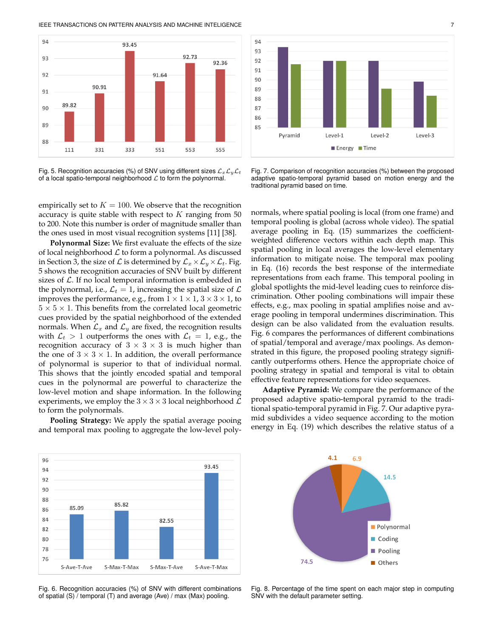IEEE TRANSACTIONS ON PATTERN ANALYSIS AND MACHINE INTELIGENCE 7



Fig. 5. Recognition accuracies (%) of SNV using different sizes  $\mathcal{L}_x\mathcal{L}_y\mathcal{L}_t$ of a local spatio-temporal neighborhood  $\mathcal L$  to form the polynormal.



Fig. 7. Comparison of recognition accuracies (%) between the proposed adaptive spatio-temporal pyramid based on motion energy and the traditional pyramid based on time.

empirically set to  $K = 100$ . We observe that the recognition accuracy is quite stable with respect to  $K$  ranging from 50 to 200. Note this number is order of magnitude smaller than the ones used in most visual recognition systems [11] [38].

**Polynormal Size:** We first evaluate the effects of the size of local neighborhood  $\mathcal L$  to form a polynormal. As discussed in Section 3, the size of  $\mathcal L$  is determined by  $\mathcal L_x \times \mathcal L_y \times \mathcal L_t$ . Fig. 5 shows the recognition accuracies of SNV built by different sizes of  $\mathcal L$ . If no local temporal information is embedded in the polynormal, i.e.,  $\mathcal{L}_t = 1$ , increasing the spatial size of  $\mathcal L$ improves the performance, e.g., from  $1 \times 1 \times 1$ ,  $3 \times 3 \times 1$ , to  $5 \times 5 \times 1$ . This benefits from the correlated local geometric cues provided by the spatial neighborhood of the extended normals. When  $\mathcal{L}_x$  and  $\mathcal{L}_y$  are fixed, the recognition results with  $\mathcal{L}_t > 1$  outperforms the ones with  $\mathcal{L}_t = 1$ , e.g., the recognition accuracy of  $3 \times 3 \times 3$  is much higher than the one of  $3 \times 3 \times 1$ . In addition, the overall performance of polynormal is superior to that of individual normal. This shows that the jointly encoded spatial and temporal cues in the polynormal are powerful to characterize the low-level motion and shape information. In the following experiments, we employ the  $3 \times 3 \times 3$  local neighborhood  $\mathcal{L}$ to form the polynormals.

**Pooling Strategy:** We apply the spatial average pooing and temporal max pooling to aggregate the low-level polynormals, where spatial pooling is local (from one frame) and temporal pooling is global (across whole video). The spatial average pooling in Eq. (15) summarizes the coefficientweighted difference vectors within each depth map. This spatial pooling in local averages the low-level elementary information to mitigate noise. The temporal max pooling in Eq. (16) records the best response of the intermediate representations from each frame. This temporal pooling in global spotlights the mid-level leading cues to reinforce discrimination. Other pooling combinations will impair these effects, e.g., max pooling in spatial amplifies noise and average pooling in temporal undermines discrimination. This design can be also validated from the evaluation results. Fig. 6 compares the performances of different combinations of spatial/temporal and average/max poolings. As demonstrated in this figure, the proposed pooling strategy significantly outperforms others. Hence the appropriate choice of pooling strategy in spatial and temporal is vital to obtain effective feature representations for video sequences.

**Adaptive Pyramid:** We compare the performance of the proposed adaptive spatio-temporal pyramid to the traditional spatio-temporal pyramid in Fig. 7. Our adaptive pyramid subdivides a video sequence according to the motion energy in Eq. (19) which describes the relative status of a



Fig. 6. Recognition accuracies (%) of SNV with different combinations of spatial (S) / temporal (T) and average (Ave) / max (Max) pooling.



Fig. 8. Percentage of the time spent on each major step in computing SNV with the default parameter setting.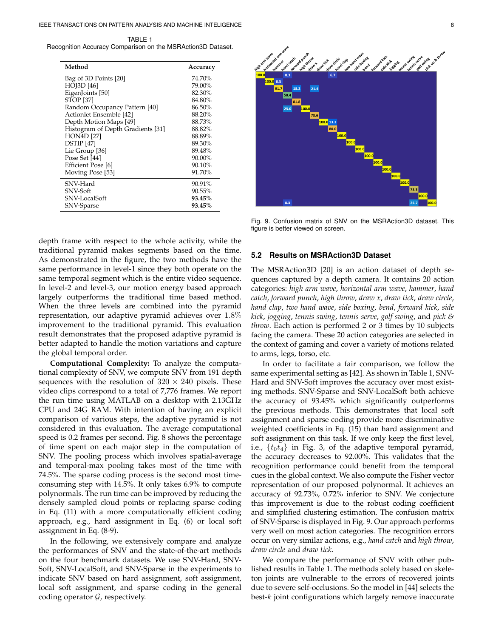TABLE 1 Recognition Accuracy Comparison on the MSRAction3D Dataset.

| Method                            | Accuracy |
|-----------------------------------|----------|
| Bag of 3D Points [20]             | 74.70%   |
| HOJ3D [46]                        | 79.00%   |
| EigenJoints [50]                  | 82.30%   |
| <b>STOP</b> [37]                  | 84.80%   |
| Random Occupancy Pattern [40]     | 86.50%   |
| Actionlet Ensemble [42]           | 88.20%   |
| Depth Motion Maps [49]            | 88.73%   |
| Histogram of Depth Gradients [31] | 88.82%   |
| <b>HON4D</b> [27]                 | 88.89%   |
| DSTIP [47]                        | 89.30%   |
| Lie Group [36]                    | 89.48%   |
| Pose Set [44]                     | 90.00%   |
| Efficient Pose [6]                | 90.10%   |
| Moving Pose [53]                  | 91.70%   |
| SNV-Hard                          | 90.91%   |
| SNV-Soft                          | 90.55%   |
| SNV-LocalSoft                     | 93.45%   |
| SNV-Sparse                        | 93.45%   |



Fig. 9. Confusion matrix of SNV on the MSRAction3D dataset. This figure is better viewed on screen.

depth frame with respect to the whole activity, while the traditional pyramid makes segments based on the time. As demonstrated in the figure, the two methods have the same performance in level-1 since they both operate on the same temporal segment which is the entire video sequence. In level-2 and level-3, our motion energy based approach largely outperforms the traditional time based method. When the three levels are combined into the pyramid representation, our adaptive pyramid achieves over 1.8% improvement to the traditional pyramid. This evaluation result demonstrates that the proposed adaptive pyramid is better adapted to handle the motion variations and capture the global temporal order.

**Computational Complexity:** To analyze the computational complexity of SNV, we compute SNV from 191 depth sequences with the resolution of  $320 \times 240$  pixels. These video clips correspond to a total of 7,776 frames. We report the run time using MATLAB on a desktop with 2.13GHz CPU and 24G RAM. With intention of having an explicit comparison of various steps, the adaptive pyramid is not considered in this evaluation. The average computational speed is 0.2 frames per second. Fig. 8 shows the percentage of time spent on each major step in the computation of SNV. The pooling process which involves spatial-average and temporal-max pooling takes most of the time with 74.5%. The sparse coding process is the second most timeconsuming step with 14.5%. It only takes 6.9% to compute polynormals. The run time can be improved by reducing the densely sampled cloud points or replacing sparse coding in Eq. (11) with a more computationally efficient coding approach, e.g., hard assignment in Eq. (6) or local soft assignment in Eq. (8-9).

In the following, we extensively compare and analyze the performances of SNV and the state-of-the-art methods on the four benchmark datasets. We use SNV-Hard, SNV-Soft, SNV-LocalSoft, and SNV-Sparse in the experiments to indicate SNV based on hard assignment, soft assignment, local soft assignment, and sparse coding in the general coding operator  $G$ , respectively.

# **5.2 Results on MSRAction3D Dataset**

The MSRAction3D [20] is an action dataset of depth sequences captured by a depth camera. It contains 20 action categories: *high arm wave*, *horizontal arm wave*, *hammer*, *hand catch*, *forward punch*, *high throw*, *draw x*, *draw tick*, *draw circle*, *hand clap*, *two hand wave*, *side boxing*, *bend*, *forward kick*, *side kick*, *jogging*, *tennis swing*, *tennis serve*, *golf swing*, and *pick & throw*. Each action is performed 2 or 3 times by 10 subjects facing the camera. These 20 action categories are selected in the context of gaming and cover a variety of motions related to arms, legs, torso, etc.

In order to facilitate a fair comparison, we follow the same experimental setting as [42]. As shown in Table 1, SNV-Hard and SNV-Soft improves the accuracy over most existing methods. SNV-Sparse and SNV-LocalSoft both achieve the accuracy of 93.45% which significantly outperforms the previous methods. This demonstrates that local soft assignment and sparse coding provide more discriminative weighted coefficients in Eq. (15) than hard assignment and soft assignment on this task. If we only keep the first level, i.e.,  $\{t_0t_4\}$  in Fig. 3, of the adaptive temporal pyramid, the accuracy decreases to 92.00%. This validates that the recognition performance could benefit from the temporal cues in the global context. We also compute the Fisher vector representation of our proposed polynormal. It achieves an accuracy of 92.73%, 0.72% inferior to SNV. We conjecture this improvement is due to the robust coding coefficient and simplified clustering estimation. The confusion matrix of SNV-Sparse is displayed in Fig. 9. Our approach performs very well on most action categories. The recognition errors occur on very similar actions, e.g., *hand catch* and *high throw*, *draw circle* and *draw tick*.

We compare the performance of SNV with other published results in Table 1. The methods solely based on skeleton joints are vulnerable to the errors of recovered joints due to severe self-occlusions. So the model in [44] selects the best- $k$  joint configurations which largely remove inaccurate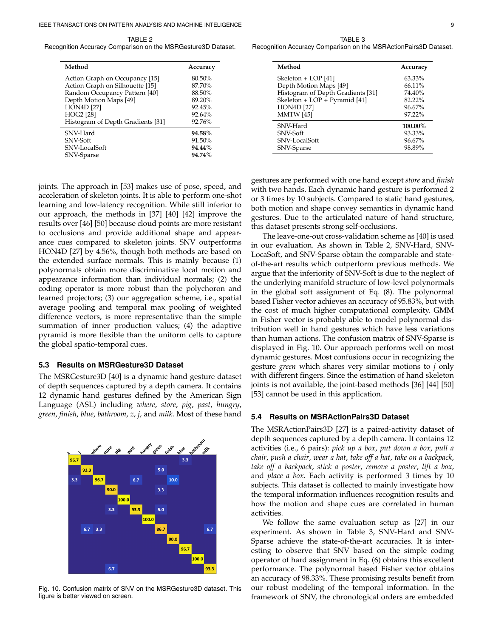TABLE<sub>2</sub> Recognition Accuracy Comparison on the MSRGesture3D Dataset.

| Method                            | Accuracy |
|-----------------------------------|----------|
| Action Graph on Occupancy [15]    | 80.50%   |
| Action Graph on Silhouette [15]   | 87.70%   |
| Random Occupancy Pattern [40]     | 88.50%   |
| Depth Motion Maps [49]            | 89.20%   |
| <b>HON4D [27]</b>                 | 92.45%   |
| <b>HOG2</b> [28]                  | 92.64%   |
| Histogram of Depth Gradients [31] | 92.76%   |
| SNV-Hard                          | 94.58%   |
| SNV-Soft                          | 91.50%   |
| SNV-LocalSoft                     | 94.44%   |
| SNV-Sparse                        | 94.74%   |

joints. The approach in [53] makes use of pose, speed, and acceleration of skeleton joints. It is able to perform one-shot learning and low-latency recognition. While still inferior to our approach, the methods in [37] [40] [42] improve the results over [46] [50] because cloud points are more resistant to occlusions and provide additional shape and appearance cues compared to skeleton joints. SNV outperforms HON4D [27] by 4.56%, though both methods are based on the extended surface normals. This is mainly because (1) polynormals obtain more discriminative local motion and appearance information than individual normals; (2) the coding operator is more robust than the polychoron and learned projectors; (3) our aggregation scheme, i.e., spatial average pooling and temporal max pooling of weighted difference vectors, is more representative than the simple summation of inner production values; (4) the adaptive pyramid is more flexible than the uniform cells to capture the global spatio-temporal cues.

# **5.3 Results on MSRGesture3D Dataset**

The MSRGesture3D [40] is a dynamic hand gesture dataset of depth sequences captured by a depth camera. It contains 12 dynamic hand gestures defined by the American Sign Language (ASL) including *where*, *store*, *pig*, *past*, *hungry*, *green*, *finish*, *blue*, *bathroom*, *z*, *j*, and *milk*. Most of these hand



Fig. 10. Confusion matrix of SNV on the MSRGesture3D dataset. This figure is better viewed on screen.

TABLE 3 Recognition Accuracy Comparison on the MSRActionPairs3D Dataset.

| Method                            | Accuracy |
|-----------------------------------|----------|
| Skeleton + LOP [41]               | 63.33%   |
| Depth Motion Maps [49]            | 66.11%   |
| Histogram of Depth Gradients [31] | 74.40%   |
| Skeleton + LOP + Pyramid [41]     | 82.22%   |
| <b>HON4D</b> [27]                 | 96.67%   |
| <b>MMTW</b> [45]                  | 97.22%   |
| SNV-Hard                          | 100.00%  |
| SNV-Soft                          | 93.33%   |
| SNV-LocalSoft                     | 96.67%   |
| SNV-Sparse                        | 98.89%   |

gestures are performed with one hand except *store* and *finish* with two hands. Each dynamic hand gesture is performed 2 or 3 times by 10 subjects. Compared to static hand gestures, both motion and shape convey semantics in dynamic hand gestures. Due to the articulated nature of hand structure, this dataset presents strong self-occlusions.

The leave-one-out cross-validation scheme as [40] is used in our evaluation. As shown in Table 2, SNV-Hard, SNV-LocaSoft, and SNV-Sparse obtain the comparable and stateof-the-art results which outperform previous methods. We argue that the inferiority of SNV-Soft is due to the neglect of the underlying manifold structure of low-level polynormals in the global soft assignment of Eq. (8). The polynormal based Fisher vector achieves an accuracy of 95.83%, but with the cost of much higher computational complexity. GMM in Fisher vector is probably able to model polynormal distribution well in hand gestures which have less variations than human actions. The confusion matrix of SNV-Sparse is displayed in Fig. 10. Our approach performs well on most dynamic gestures. Most confusions occur in recognizing the gesture *green* which shares very similar motions to *j* only with different fingers. Since the estimation of hand skeleton joints is not available, the joint-based methods [36] [44] [50] [53] cannot be used in this application.

# **5.4 Results on MSRActionPairs3D Dataset**

The MSRActionPairs3D [27] is a paired-activity dataset of depth sequences captured by a depth camera. It contains 12 activities (i.e., 6 pairs): *pick up a box*, *put down a box*, *pull a chair*, *push a chair*, *wear a hat*, *take off a hat*, *take on a backpack*, *take off a backpack*, *stick a poster*, *remove a poster*, *lift a box*, and *place a box*. Each activity is performed 3 times by 10 subjects. This dataset is collected to mainly investigate how the temporal information influences recognition results and how the motion and shape cues are correlated in human activities.

We follow the same evaluation setup as [27] in our experiment. As shown in Table 3, SNV-Hard and SNV-Sparse achieve the state-of-the-art accuracies. It is interesting to observe that SNV based on the simple coding operator of hard assignment in Eq. (6) obtains this excellent performance. The polynormal based Fisher vector obtains an accuracy of 98.33%. These promising results benefit from our robust modeling of the temporal information. In the framework of SNV, the chronological orders are embedded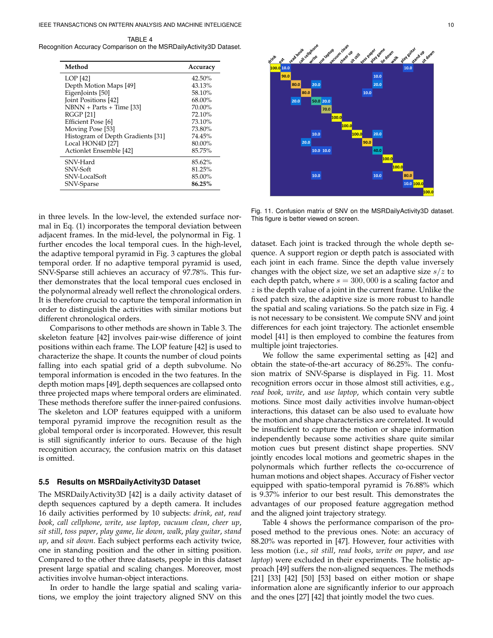TABLE 4 Recognition Accuracy Comparison on the MSRDailyActivity3D Dataset.

| Method                            | Accuracy |
|-----------------------------------|----------|
| LOP [42]                          | 42.50%   |
| Depth Motion Maps [49]            | 43.13%   |
| EigenJoints [50]                  | 58.10%   |
| <b>Joint Positions [42]</b>       | 68.00%   |
| $NBNN + Parts + Time [33]$        | 70.00%   |
| <b>RGGP [21]</b>                  | 72.10%   |
| Efficient Pose [6]                | 73.10%   |
| Moving Pose [53]                  | 73.80%   |
| Histogram of Depth Gradients [31] | 74.45%   |
| Local HON4D [27]                  | 80.00%   |
| Actionlet Ensemble [42]           | 85.75%   |
| SNV-Hard                          | 85.62%   |
| SNV-Soft                          | 81.25%   |
| SNV-LocalSoft                     | 85.00%   |
| SNV-Sparse                        | 86.25%   |

in three levels. In the low-level, the extended surface normal in Eq. (1) incorporates the temporal deviation between adjacent frames. In the mid-level, the polynormal in Fig. 1 further encodes the local temporal cues. In the high-level, the adaptive temporal pyramid in Fig. 3 captures the global temporal order. If no adaptive temporal pyramid is used, SNV-Sparse still achieves an accuracy of 97.78%. This further demonstrates that the local temporal cues enclosed in the polynormal already well reflect the chronological orders. It is therefore crucial to capture the temporal information in order to distinguish the activities with similar motions but different chronological orders.

Comparisons to other methods are shown in Table 3. The skeleton feature [42] involves pair-wise difference of joint positions within each frame. The LOP feature [42] is used to characterize the shape. It counts the number of cloud points falling into each spatial grid of a depth subvolume. No temporal information is encoded in the two features. In the depth motion maps [49], depth sequences are collapsed onto three projected maps where temporal orders are eliminated. These methods therefore suffer the inner-paired confusions. The skeleton and LOP features equipped with a uniform temporal pyramid improve the recognition result as the global temporal order is incorporated. However, this result is still significantly inferior to ours. Because of the high recognition accuracy, the confusion matrix on this dataset is omitted.

#### **5.5 Results on MSRDailyActivity3D Dataset**

The MSRDailyActivity3D [42] is a daily activity dataset of depth sequences captured by a depth camera. It includes 16 daily activities performed by 10 subjects: *drink*, *eat*, *read book*, *call cellphone*, *write*, *use laptop*, *vacuum clean*, *cheer up*, *sit still*, *toss paper*, *play game*, *lie down*, *walk*, *play guitar*, *stand up*, and *sit down*. Each subject performs each activity twice, one in standing position and the other in sitting position. Compared to the other three datasets, people in this dataset present large spatial and scaling changes. Moreover, most activities involve human-object interactions.

In order to handle the large spatial and scaling variations, we employ the joint trajectory aligned SNV on this



Fig. 11. Confusion matrix of SNV on the MSRDailyActivity3D dataset. This figure is better viewed on screen.

dataset. Each joint is tracked through the whole depth sequence. A support region or depth patch is associated with each joint in each frame. Since the depth value inversely changes with the object size, we set an adaptive size  $s/z$  to each depth patch, where  $s = 300,000$  is a scaling factor and  $z$  is the depth value of a joint in the current frame. Unlike the fixed patch size, the adaptive size is more robust to handle the spatial and scaling variations. So the patch size in Fig. 4 is not necessary to be consistent. We compute SNV and joint differences for each joint trajectory. The actionlet ensemble model [41] is then employed to combine the features from multiple joint trajectories.

We follow the same experimental setting as [42] and obtain the state-of-the-art accuracy of 86.25%. The confusion matrix of SNV-Sparse is displayed in Fig. 11. Most recognition errors occur in those almost still activities, e.g., *read book*, *write*, and *use laptop*, which contain very subtle motions. Since most daily activities involve human-object interactions, this dataset can be also used to evaluate how the motion and shape characteristics are correlated. It would be insufficient to capture the motion or shape information independently because some activities share quite similar motion cues but present distinct shape properties. SNV jointly encodes local motions and geometric shapes in the polynormals which further reflects the co-occurrence of human motions and object shapes. Accuracy of Fisher vector equipped with spatio-temporal pyramid is 76.88% which is 9.37% inferior to our best result. This demonstrates the advantages of our proposed feature aggregation method and the aligned joint trajectory strategy.

Table 4 shows the performance comparison of the proposed method to the previous ones. Note: an accuracy of 88.20% was reported in [47]. However, four activities with less motion (i.e., *sit still*, *read books*, *write on paper*, and *use laptop*) were excluded in their experiments. The holistic approach [49] suffers the non-aligned sequences. The methods [21] [33] [42] [50] [53] based on either motion or shape information alone are significantly inferior to our approach and the ones [27] [42] that jointly model the two cues.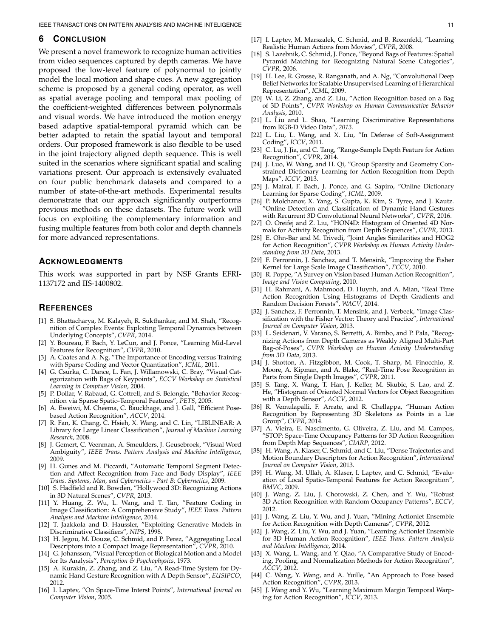#### **6 CONCLUSION**

We present a novel framework to recognize human activities from video sequences captured by depth cameras. We have proposed the low-level feature of polynormal to jointly model the local motion and shape cues. A new aggregation scheme is proposed by a general coding operator, as well as spatial average pooling and temporal max pooling of the coefficient-weighted differences between polynormals and visual words. We have introduced the motion energy based adaptive spatial-temporal pyramid which can be better adapted to retain the spatial layout and temporal orders. Our proposed framework is also flexible to be used in the joint trajectory aligned depth sequence. This is well suited in the scenarios where significant spatial and scaling variations present. Our approach is extensively evaluated on four public benchmark datasets and compared to a number of state-of-the-art methods. Experimental results demonstrate that our approach significantly outperforms previous methods on these datasets. The future work will focus on exploiting the complementary information and fusing multiple features from both color and depth channels for more advanced representations.

# **ACKNOWLEDGMENTS**

This work was supported in part by NSF Grants EFRI-1137172 and IIS-1400802.

## **REFERENCES**

- [1] S. Bhattacharya, M. Kalayeh, R. Sukthankar, and M. Shah, "Recognition of Complex Events: Exploiting Temporal Dynamics between Underlying Concepts", *CVPR*, 2014.
- [2] Y. Boureau, F. Bach, Y. LeCun, and J. Ponce, "Learning Mid-Level Features for Recognition", *CVPR*, 2010.
- [3] A. Coates and A. Ng, "The Importance of Encoding versus Training with Sparse Coding and Vector Quantization", *ICML*, 2011.
- [4] G. Csurka, C. Dance, L. Fan, J. Willamowski, C. Bray, "Visual Categorization with Bags of Keypoints", *ECCV Workshop on Statistical Learning in Comptuer Vision*, 2004.
- [5] P. Dollar, V. Rabaud, G. Cottrell, and S. Belongie, "Behavior Recognition via Sparse Spatio-Temporal Features", *PETS*, 2005.
- [6] A. Eweiwi, M. Cheema, C. Bauckhage, and J. Gall, "Efficient Posebased Action Recognition", *ACCV*, 2014.
- [7] R. Fan, K. Chang, C. Hsieh, X. Wang, and C. Lin, "LIBLINEAR: A Library for Large Linear Classification", *Journal of Machine Learning Research*, 2008.
- [8] J. Gemert, C. Veenman, A. Smeulders, J. Geusebroek, "Visual Word Ambiguity", *IEEE Trans. Pattern Analysis and Machine Intelligence*, 2009.
- [9] H. Gunes and M. Piccardi, "Automatic Temporal Segment Detection and Affect Recognition from Face and Body Display", *IEEE Trans. Systems, Man, and Cybernetics - Part B: Cybernetics*, 2009.
- [10] S. Hadfield and R. Bowden, "Hollywood 3D: Recognizing Actions in 3D Natural Scenes", *CVPR*, 2013.
- [11] Y. Huang, Z. Wu, L. Wang, and T. Tan, "Feature Coding in Image Classification: A Comprehensive Study", *IEEE Trans. Pattern Analysis and Machine Intelligence*, 2014.
- [12] T. Jaakkola and D. Haussler, "Exploiting Generative Models in Discriminative Classifiers", *NIPS*, 1998.
- [13] H. Jegou, M. Douze, C. Schmid, and P. Perez, "Aggregating Local Descriptors into a Compact Image Representation", *CVPR*, 2010.
- [14] G. Johansson, "Visual Perception of Biological Motion and a Model for Its Analysis", *Perception & Psychophysics*, 1973.
- [15] A. Kurakin, Z. Zhang, and Z. Liu, "A Read-Time System for Dynamic Hand Gesture Recognition with A Depth Sensor", *EUSIPCO*, 2012.
- [16] I. Laptev, "On Space-Time Interst Points", *International Journal on Computer Vision*, 2005.
- [17] I. Laptev, M. Marszalek, C. Schmid, and B. Rozenfeld, "Learning Realistic Human Actions from Movies", *CVPR*, 2008.
- [18] S. Lazebnik, C. Schmid, J. Ponce, "Beyond Bags of Features: Spatial Pyramid Matching for Recognizing Natural Scene Categories", *CVPR*, 2006.
- [19] H. Lee, R. Grosse, R. Ranganath, and A. Ng, "Convolutional Deep Belief Networks for Scalable Unsupervised Learning of Hierarchical Representation", *ICML*, 2009.
- [20] W. Li, Z. Zhang, and Z. Liu, "Action Recognition based on a Bag of 3D Points", *CVPR Workshop on Human Communicative Behavior Analysis*, 2010.
- [21] L. Liu and L. Shao, "Learning Discriminative Representations from RGB-D Video Data", *2013*.
- [22] L. Liu, L. Wang, and X. Liu, "In Defense of Soft-Assignment Coding", *ICCV*, 2011.
- [23] C. Lu, J. Jia, and C. Tang, "Range-Sample Depth Feature for Action Recognition", *CVPR*, 2014.
- [24] J. Luo, W. Wang, and H. Qi, "Group Sparsity and Geometry Constrained Dictionary Learning for Action Recognition from Depth Maps", *ICCV*, 2013.
- [25] J. Mairal, F. Bach, J. Ponce, and G. Sapiro, "Online Dictionary Learning for Sparse Coding", *ICML*, 2009.
- [26] P. Molchanov, X. Yang, S. Gupta, K. Kim, S. Tyree, and J. Kautz. "Online Detection and Classification of Dynamic Hand Gestures with Recurrent 3D Convolutional Neural Networks", *CVPR*, 2016.
- [27] O. Oreifej and Z. Liu, "HON4D: Histogram of Oriented 4D Normals for Activity Recognition from Depth Sequences", *CVPR*, 2013.
- [28] E. Ohn-Bar and M. Trivedi, "Joint Angles Similarities and HOG2 for Action Recognition", *CVPR Workshop on Human Activity Understanding from 3D Data*, 2013.
- [29] F. Perronnin, J. Sanchez, and T. Mensink, "Improving the Fisher Kernel for Large Scale Image Classification", *ECCV*, 2010.
- [30] R. Poppe, "A Survey on Vision based Human Action Recognition", *Image and Vision Computing*, 2010.
- [31] H. Rahmani, A. Mahmood, D. Huynh, and A. Mian, "Real Time Action Recognition Using Histograms of Depth Gradients and Random Decision Forests", *WACV*, 2014.
- [32] J. Sanchez, F. Perronnin, T. Mensink, and J. Verbeek, "Image Classification with the Fisher Vector: Theory and Practice", *International Journal on Computer Vision*, 2013.
- [33] L. Seidenari, V. Varano, S. Berretti, A. Bimbo, and P. Pala, "Recognizing Actions from Depth Cameras as Weakly Aligned Multi-Part Bag-of-Poses", *CVPR Workshop on Human Activity Understanding from 3D Data*, 2013.
- [34] J. Shotton, A. Fitzgibbon, M. Cook, T. Sharp, M. Finocchio, R. Moore, A. Kipman, and A. Blake, "Real-Time Pose Recognition in Parts from Single Depth Images", *CVPR*, 2011.
- [35] S. Tang, X. Wang, T. Han, J. Keller, M. Skubic, S. Lao, and Z. He, "Histogram of Oriented Normal Vectors for Object Recognition with a Depth Sensor", *ACCV*, 2012.
- [36] R. Vemulapalli, F. Arrate, and R. Chellappa, "Human Action Recognition by Representing 3D Skeletons as Points in a Lie Group", *CVPR*, 2014.
- [37] A. Vieira, E. Nascimento, G. Oliveira, Z. Liu, and M. Campos, "STOP: Space-Time Occupancy Patterns for 3D Action Recognition from Depth Map Sequences", *CIARP*, 2012.
- [38] H. Wang, A. Klaser, C. Schmid, and C. Liu, "Dense Trajectories and Motion Boundary Descriptors for Action Recognition", *International Journal on Computer Vision*, 2013.
- [39] H. Wang, M. Ullah, A. Klaser, I. Laptev, and C. Schmid, "Evaluation of Local Spatio-Temporal Features for Action Recognition", *BMVC*, 2009.
- [40] J. Wang, Z. Liu, J. Chorowski, Z. Chen, and Y. Wu, "Robust 3D Action Recognition with Random Occupancy Patterns", *ECCV*, 2012.
- [41] J. Wang, Z. Liu, Y. Wu, and J. Yuan, "Mining Actionlet Ensemble for Action Recognition with Depth Cameras", *CVPR*, 2012.
- [42] J. Wang, Z. Liu, Y. Wu, and J. Yuan, "Learning Actionlet Ensemble for 3D Human Action Recognition", *IEEE Trans. Pattern Analysis and Machine Intelligence*, 2014.
- [43] X. Wang, L. Wang, and Y. Qiao, "A Comparative Study of Encoding, Pooling, and Normalization Methods for Action Recognition", *ACCV*, 2012.
- [44] C. Wang, Y. Wang, and A. Yuille, "An Approach to Pose based Action Recognition", *CVPR*, 2013.
- [45] J. Wang and Y. Wu, "Learning Maximum Margin Temporal Warping for Action Recognition", *ICCV*, 2013.